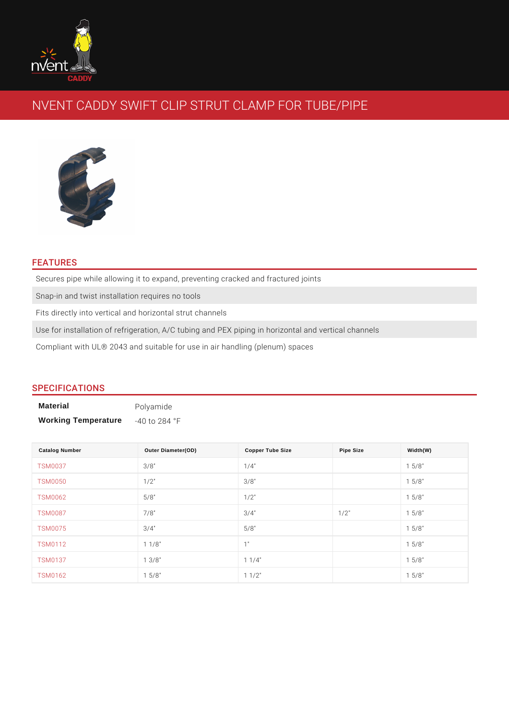# NVENT CADDY SWIFT CLIP STRUT CLAMP FOR TUBI

#### FEATURES

Secures pipe while allowing it to expand, preventing cracked and fractured join Snap-in and twist installation requires no tools Fits directly into vertical and horizontal strut channels

Use for installation of refrigeration, A/C tubing and PEX piping in horizontal an Compliant with UL® 2043 and suitable for use in air handling (plenum) spaces

## SPECIFICATIONS

| Material                   | Polyamide                |  |  |
|----------------------------|--------------------------|--|--|
| <b>Working Temperature</b> | $-40$ to 284 $\degree$ F |  |  |

| <b>Catalog Number</b> | Outer Diameter(OD) | Copper Tube Size | Pipe Size | Width(W) |
|-----------------------|--------------------|------------------|-----------|----------|
| <b>TSM0037</b>        | 3/8"               | $1/4$ "          |           | 1 5/8"   |
| <b>TSM0050</b>        | $1/2$ "            | $3/8$ "          |           | 1 5/8"   |
| <b>TSM0062</b>        | $5/8$ "            | $1/2$ "          |           | 1 5/8"   |
| <b>TSM0087</b>        | $7/8$ "            | $3/4$ "          | $1/2$ "   | 1 5/8"   |
| <b>TSM0075</b>        | $3/4$ "            | $5/8$ "          |           | 1 5/8"   |
| <b>TSM0112</b>        | $1 \t1/8$ "        | 1"               |           | 1 5/8"   |
| <b>TSM0137</b>        | $1 \t3/8$ "        | $1 \t1/4$ "      |           | 1 5/8"   |
| <b>TSM0162</b>        | $1 \t5/8$ "        | $1 \t1/2$ "      |           | 1 5/8"   |